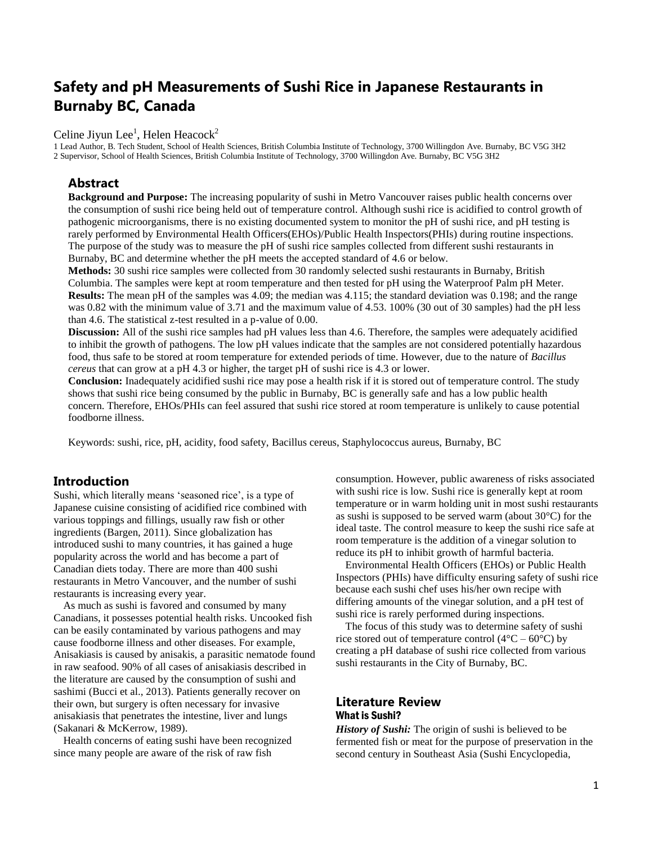# **Safety and pH Measurements of Sushi Rice in Japanese Restaurants in Burnaby BC, Canada**

# Celine Jiyun Lee<sup>1</sup>, Helen Heacock<sup>2</sup>

1 Lead Author, B. Tech Student, School of Health Sciences, British Columbia Institute of Technology, 3700 Willingdon Ave. Burnaby, BC V5G 3H2 2 Supervisor, School of Health Sciences, British Columbia Institute of Technology, 3700 Willingdon Ave. Burnaby, BC V5G 3H2

### **Abstract**

**Background and Purpose:** The increasing popularity of sushi in Metro Vancouver raises public health concerns over the consumption of sushi rice being held out of temperature control. Although sushi rice is acidified to control growth of pathogenic microorganisms, there is no existing documented system to monitor the pH of sushi rice, and pH testing is rarely performed by Environmental Health Officers(EHOs)/Public Health Inspectors(PHIs) during routine inspections. The purpose of the study was to measure the pH of sushi rice samples collected from different sushi restaurants in Burnaby, BC and determine whether the pH meets the accepted standard of 4.6 or below.

**Methods:** 30 sushi rice samples were collected from 30 randomly selected sushi restaurants in Burnaby, British Columbia. The samples were kept at room temperature and then tested for pH using the Waterproof Palm pH Meter. **Results:** The mean pH of the samples was 4.09; the median was 4.115; the standard deviation was 0.198; and the range was 0.82 with the minimum value of 3.71 and the maximum value of 4.53. 100% (30 out of 30 samples) had the pH less than 4.6. The statistical z-test resulted in a p-value of 0.00.

**Discussion:** All of the sushi rice samples had pH values less than 4.6. Therefore, the samples were adequately acidified to inhibit the growth of pathogens. The low pH values indicate that the samples are not considered potentially hazardous food, thus safe to be stored at room temperature for extended periods of time. However, due to the nature of *Bacillus cereus* that can grow at a pH 4.3 or higher, the target pH of sushi rice is 4.3 or lower.

**Conclusion:** Inadequately acidified sushi rice may pose a health risk if it is stored out of temperature control. The study shows that sushi rice being consumed by the public in Burnaby, BC is generally safe and has a low public health concern. Therefore, EHOs/PHIs can feel assured that sushi rice stored at room temperature is unlikely to cause potential foodborne illness.

Keywords: sushi, rice, pH, acidity, food safety, Bacillus cereus, Staphylococcus aureus, Burnaby, BC

### **Introduction**

Sushi, which literally means 'seasoned rice', is a type of Japanese cuisine consisting of acidified rice combined with various toppings and fillings, usually raw fish or other ingredients (Bargen, 2011). Since globalization has introduced sushi to many countries, it has gained a huge popularity across the world and has become a part of Canadian diets today. There are more than 400 sushi restaurants in Metro Vancouver, and the number of sushi restaurants is increasing every year.

As much as sushi is favored and consumed by many Canadians, it possesses potential health risks. Uncooked fish can be easily contaminated by various pathogens and may cause foodborne illness and other diseases. For example, Anisakiasis is caused by anisakis, a parasitic nematode found in raw seafood. 90% of all cases of anisakiasis described in the literature are caused by the consumption of sushi and sashimi (Bucci et al., 2013). Patients generally recover on their own, but surgery is often necessary for invasive anisakiasis that penetrates the intestine, liver and lungs (Sakanari & McKerrow, 1989).

Health concerns of eating sushi have been recognized since many people are aware of the risk of raw fish

consumption. However, public awareness of risks associated with sushi rice is low. Sushi rice is generally kept at room temperature or in warm holding unit in most sushi restaurants as sushi is supposed to be served warm (about 30°C) for the ideal taste. The control measure to keep the sushi rice safe at room temperature is the addition of a vinegar solution to reduce its pH to inhibit growth of harmful bacteria.

Environmental Health Officers (EHOs) or Public Health Inspectors (PHIs) have difficulty ensuring safety of sushi rice because each sushi chef uses his/her own recipe with differing amounts of the vinegar solution, and a pH test of sushi rice is rarely performed during inspections.

The focus of this study was to determine safety of sushi rice stored out of temperature control ( $4^{\circ}$ C –  $60^{\circ}$ C) by creating a pH database of sushi rice collected from various sushi restaurants in the City of Burnaby, BC.

### **Literature Review** What is Sushi?

*History of Sushi:* The origin of sushi is believed to be fermented fish or meat for the purpose of preservation in the second century in Southeast Asia (Sushi Encyclopedia,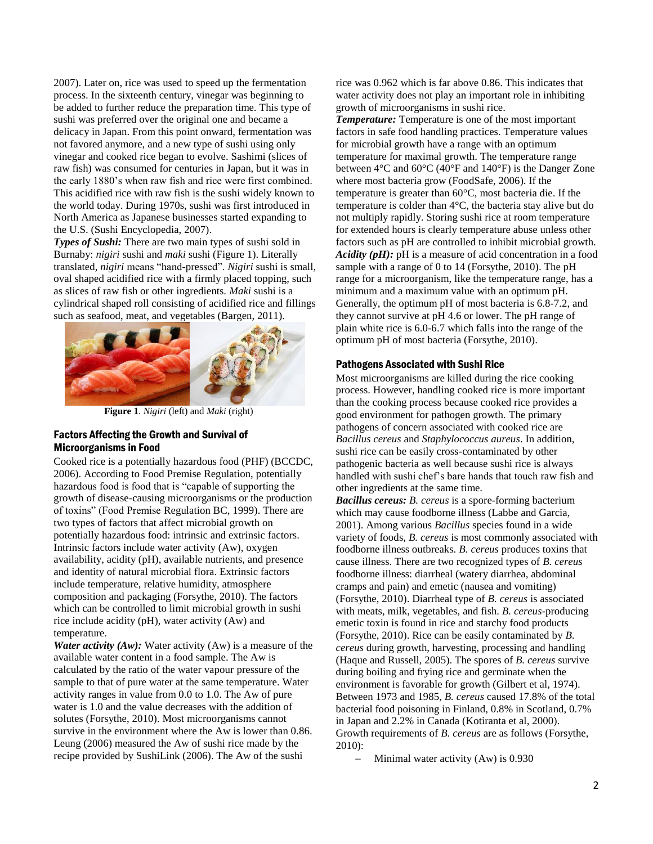2007). Later on, rice was used to speed up the fermentation process. In the sixteenth century, vinegar was beginning to be added to further reduce the preparation time. This type of sushi was preferred over the original one and became a delicacy in Japan. From this point onward, fermentation was not favored anymore, and a new type of sushi using only vinegar and cooked rice began to evolve. Sashimi (slices of raw fish) was consumed for centuries in Japan, but it was in the early 1880's when raw fish and rice were first combined. This acidified rice with raw fish is the sushi widely known to the world today. During 1970s, sushi was first introduced in North America as Japanese businesses started expanding to the U.S. (Sushi Encyclopedia, 2007).

*Types of Sushi:* There are two main types of sushi sold in Burnaby: *nigiri* sushi and *maki* sushi (Figure 1). Literally translated, *nigiri* means "hand-pressed". *Nigiri* sushi is small, oval shaped acidified rice with a firmly placed topping, such as slices of raw fish or other ingredients. *Maki* sushi is a cylindrical shaped roll consisting of acidified rice and fillings such as seafood, meat, and vegetables (Bargen, 2011).



 **Figure 1**. *Nigiri* (left) and *Maki* (right)

#### Factors Affecting the Growth and Survival of Microorganisms in Food

Cooked rice is a potentially hazardous food (PHF) (BCCDC, 2006). According to Food Premise Regulation, potentially hazardous food is food that is "capable of supporting the growth of disease-causing microorganisms or the production of toxins" (Food Premise Regulation BC, 1999). There are two types of factors that affect microbial growth on potentially hazardous food: intrinsic and extrinsic factors. Intrinsic factors include water activity (Aw), oxygen availability, acidity (pH), available nutrients, and presence and identity of natural microbial flora. Extrinsic factors include temperature, relative humidity, atmosphere composition and packaging (Forsythe, 2010). The factors which can be controlled to limit microbial growth in sushi rice include acidity (pH), water activity (Aw) and temperature.

*Water activity (Aw):* Water activity (Aw) is a measure of the available water content in a food sample. The Aw is calculated by the ratio of the water vapour pressure of the sample to that of pure water at the same temperature. Water activity ranges in value from 0.0 to 1.0. The Aw of pure water is 1.0 and the value decreases with the addition of solutes (Forsythe, 2010). Most microorganisms cannot survive in the environment where the Aw is lower than 0.86. Leung (2006) measured the Aw of sushi rice made by the recipe provided by SushiLink (2006). The Aw of the sushi

rice was 0.962 which is far above 0.86. This indicates that water activity does not play an important role in inhibiting growth of microorganisms in sushi rice.

*Temperature:* Temperature is one of the most important factors in safe food handling practices. Temperature values for microbial growth have a range with an optimum temperature for maximal growth. The temperature range between 4°C and 60°C (40°F and 140°F) is the Danger Zone where most bacteria grow (FoodSafe, 2006). If the temperature is greater than 60°C, most bacteria die. If the temperature is colder than 4°C, the bacteria stay alive but do not multiply rapidly. Storing sushi rice at room temperature for extended hours is clearly temperature abuse unless other factors such as pH are controlled to inhibit microbial growth. *Acidity (pH):* pH is a measure of acid concentration in a food sample with a range of 0 to 14 (Forsythe, 2010). The pH range for a microorganism, like the temperature range, has a minimum and a maximum value with an optimum pH. Generally, the optimum pH of most bacteria is 6.8-7.2, and they cannot survive at pH 4.6 or lower. The pH range of plain white rice is 6.0-6.7 which falls into the range of the optimum pH of most bacteria (Forsythe, 2010).

#### Pathogens Associated with Sushi Rice

Most microorganisms are killed during the rice cooking process. However, handling cooked rice is more important than the cooking process because cooked rice provides a good environment for pathogen growth. The primary pathogens of concern associated with cooked rice are *Bacillus cereus* and *Staphylococcus aureus*. In addition, sushi rice can be easily cross-contaminated by other pathogenic bacteria as well because sushi rice is always handled with sushi chef's bare hands that touch raw fish and other ingredients at the same time.

*Bacillus cereus: B. cereus* is a spore-forming bacterium which may cause foodborne illness (Labbe and Garcia, 2001). Among various *Bacillus* species found in a wide variety of foods, *B. cereus* is most commonly associated with foodborne illness outbreaks. *B. cereus* produces toxins that cause illness. There are two recognized types of *B. cereus* foodborne illness: diarrheal (watery diarrhea, abdominal cramps and pain) and emetic (nausea and vomiting) (Forsythe, 2010). Diarrheal type of *B. cereus* is associated with meats, milk, vegetables, and fish. *B. cereus*-producing emetic toxin is found in rice and starchy food products (Forsythe, 2010). Rice can be easily contaminated by *B. cereus* during growth, harvesting, processing and handling (Haque and Russell, 2005). The spores of *B. cereus* survive during boiling and frying rice and germinate when the environment is favorable for growth (Gilbert et al, 1974). Between 1973 and 1985, *B. cereus* caused 17.8% of the total bacterial food poisoning in Finland, 0.8% in Scotland, 0.7% in Japan and 2.2% in Canada (Kotiranta et al, 2000). Growth requirements of *B. cereus* are as follows (Forsythe, 2010):

Minimal water activity (Aw) is 0.930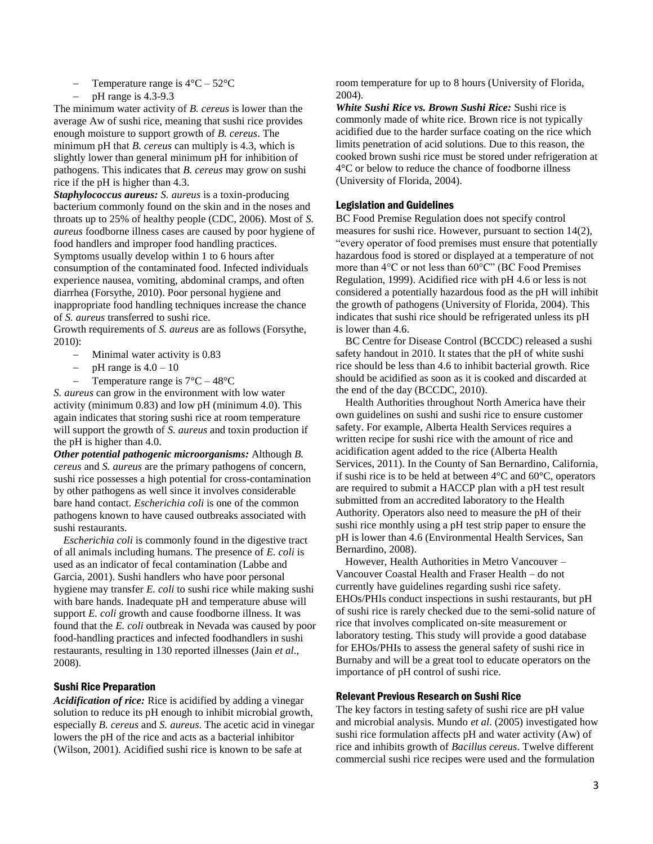- Temperature range is  $4^{\circ}$ C 52 $^{\circ}$ C
- $-$  pH range is 4.3-9.3

The minimum water activity of *B. cereus* is lower than the average Aw of sushi rice, meaning that sushi rice provides enough moisture to support growth of *B. cereus*. The minimum pH that *B. cereus* can multiply is 4.3, which is slightly lower than general minimum pH for inhibition of pathogens. This indicates that *B. cereus* may grow on sushi rice if the pH is higher than 4.3.

*Staphylococcus aureus: S. aureus* is a toxin-producing bacterium commonly found on the skin and in the noses and throats up to 25% of healthy people (CDC, 2006). Most of *S. aureus* foodborne illness cases are caused by poor hygiene of food handlers and improper food handling practices. Symptoms usually develop within 1 to 6 hours after consumption of the contaminated food. Infected individuals experience nausea, vomiting, abdominal cramps, and often diarrhea (Forsythe, 2010). Poor personal hygiene and inappropriate food handling techniques increase the chance of *S. aureus* transferred to sushi rice.

Growth requirements of *S. aureus* are as follows (Forsythe, 2010):

- Minimal water activity is 0.83
- $-$  pH range is  $4.0 10$
- Temperature range is  $7^{\circ}$ C 48 $^{\circ}$ C

*S. aureus* can grow in the environment with low water activity (minimum 0.83) and low pH (minimum 4.0). This again indicates that storing sushi rice at room temperature will support the growth of *S. aureus* and toxin production if the pH is higher than 4.0.

*Other potential pathogenic microorganisms:* Although *B. cereus* and *S. aureus* are the primary pathogens of concern, sushi rice possesses a high potential for cross-contamination by other pathogens as well since it involves considerable bare hand contact. *Escherichia coli* is one of the common pathogens known to have caused outbreaks associated with sushi restaurants.

*Escherichia coli* is commonly found in the digestive tract of all animals including humans. The presence of *E. coli* is used as an indicator of fecal contamination (Labbe and Garcia, 2001). Sushi handlers who have poor personal hygiene may transfer *E. coli* to sushi rice while making sushi with bare hands. Inadequate pH and temperature abuse will support *E. coli* growth and cause foodborne illness. It was found that the *E. coli* outbreak in Nevada was caused by poor food-handling practices and infected foodhandlers in sushi restaurants, resulting in 130 reported illnesses (Jain *et al*., 2008).

#### Sushi Rice Preparation

*Acidification of rice:* Rice is acidified by adding a vinegar solution to reduce its pH enough to inhibit microbial growth, especially *B. cereus* and *S. aureus*. The acetic acid in vinegar lowers the pH of the rice and acts as a bacterial inhibitor (Wilson, 2001). Acidified sushi rice is known to be safe at

room temperature for up to 8 hours (University of Florida, 2004).

*White Sushi Rice vs. Brown Sushi Rice:* Sushi rice is commonly made of white rice. Brown rice is not typically acidified due to the harder surface coating on the rice which limits penetration of acid solutions. Due to this reason, the cooked brown sushi rice must be stored under refrigeration at 4°C or below to reduce the chance of foodborne illness (University of Florida, 2004).

#### Legislation and Guidelines

BC Food Premise Regulation does not specify control measures for sushi rice. However, pursuant to section 14(2), "every operator of food premises must ensure that potentially hazardous food is stored or displayed at a temperature of not more than 4°C or not less than 60°C" (BC Food Premises Regulation, 1999). Acidified rice with pH 4.6 or less is not considered a potentially hazardous food as the pH will inhibit the growth of pathogens (University of Florida, 2004). This indicates that sushi rice should be refrigerated unless its pH is lower than 4.6.

BC Centre for Disease Control (BCCDC) released a sushi safety handout in 2010. It states that the pH of white sushi rice should be less than 4.6 to inhibit bacterial growth. Rice should be acidified as soon as it is cooked and discarded at the end of the day (BCCDC, 2010).

Health Authorities throughout North America have their own guidelines on sushi and sushi rice to ensure customer safety. For example, Alberta Health Services requires a written recipe for sushi rice with the amount of rice and acidification agent added to the rice (Alberta Health Services, 2011). In the County of San Bernardino, California, if sushi rice is to be held at between 4°C and 60°C, operators are required to submit a HACCP plan with a pH test result submitted from an accredited laboratory to the Health Authority. Operators also need to measure the pH of their sushi rice monthly using a pH test strip paper to ensure the pH is lower than 4.6 (Environmental Health Services, San Bernardino, 2008).

However, Health Authorities in Metro Vancouver – Vancouver Coastal Health and Fraser Health – do not currently have guidelines regarding sushi rice safety. EHOs/PHIs conduct inspections in sushi restaurants, but pH of sushi rice is rarely checked due to the semi-solid nature of rice that involves complicated on-site measurement or laboratory testing. This study will provide a good database for EHOs/PHIs to assess the general safety of sushi rice in Burnaby and will be a great tool to educate operators on the importance of pH control of sushi rice.

#### Relevant Previous Research on Sushi Rice

The key factors in testing safety of sushi rice are pH value and microbial analysis. Mundo *et al*. (2005) investigated how sushi rice formulation affects pH and water activity (Aw) of rice and inhibits growth of *Bacillus cereus*. Twelve different commercial sushi rice recipes were used and the formulation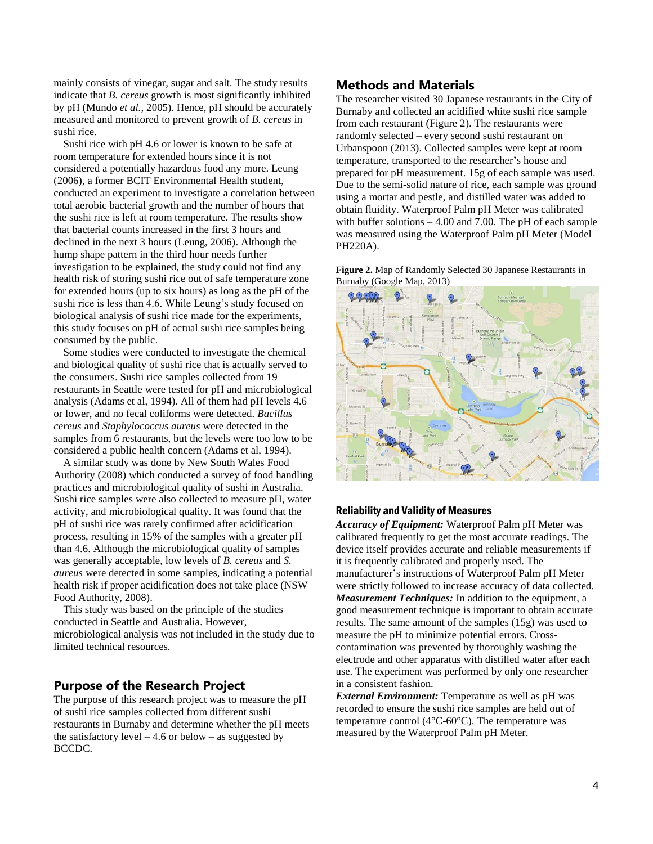mainly consists of vinegar, sugar and salt. The study results indicate that *B. cereus* growth is most significantly inhibited by pH (Mundo *et al.*, 2005). Hence, pH should be accurately measured and monitored to prevent growth of *B. cereus* in sushi rice.

Sushi rice with pH 4.6 or lower is known to be safe at room temperature for extended hours since it is not considered a potentially hazardous food any more. Leung (2006), a former BCIT Environmental Health student, conducted an experiment to investigate a correlation between total aerobic bacterial growth and the number of hours that the sushi rice is left at room temperature. The results show that bacterial counts increased in the first 3 hours and declined in the next 3 hours (Leung, 2006). Although the hump shape pattern in the third hour needs further investigation to be explained, the study could not find any health risk of storing sushi rice out of safe temperature zone for extended hours (up to six hours) as long as the pH of the sushi rice is less than 4.6. While Leung's study focused on biological analysis of sushi rice made for the experiments, this study focuses on pH of actual sushi rice samples being consumed by the public.

Some studies were conducted to investigate the chemical and biological quality of sushi rice that is actually served to the consumers. Sushi rice samples collected from 19 restaurants in Seattle were tested for pH and microbiological analysis (Adams et al, 1994). All of them had pH levels 4.6 or lower, and no fecal coliforms were detected. *Bacillus cereus* and *Staphylococcus aureus* were detected in the samples from 6 restaurants, but the levels were too low to be considered a public health concern (Adams et al, 1994).

A similar study was done by New South Wales Food Authority (2008) which conducted a survey of food handling practices and microbiological quality of sushi in Australia. Sushi rice samples were also collected to measure pH, water activity, and microbiological quality. It was found that the pH of sushi rice was rarely confirmed after acidification process, resulting in 15% of the samples with a greater pH than 4.6. Although the microbiological quality of samples was generally acceptable, low levels of *B. cereus* and *S. aureus* were detected in some samples, indicating a potential health risk if proper acidification does not take place (NSW Food Authority, 2008).

This study was based on the principle of the studies conducted in Seattle and Australia. However, microbiological analysis was not included in the study due to limited technical resources.

# **Purpose of the Research Project**

The purpose of this research project was to measure the pH of sushi rice samples collected from different sushi restaurants in Burnaby and determine whether the pH meets the satisfactory level  $-4.6$  or below  $-$  as suggested by BCCDC.

# **Methods and Materials**

The researcher visited 30 Japanese restaurants in the City of Burnaby and collected an acidified white sushi rice sample from each restaurant (Figure 2). The restaurants were randomly selected – every second sushi restaurant on Urbanspoon (2013). Collected samples were kept at room temperature, transported to the researcher's house and prepared for pH measurement. 15g of each sample was used. Due to the semi-solid nature of rice, each sample was ground using a mortar and pestle, and distilled water was added to obtain fluidity. Waterproof Palm pH Meter was calibrated with buffer solutions – 4.00 and 7.00. The pH of each sample was measured using the Waterproof Palm pH Meter (Model PH220A).

**Figure 2.** Map of Randomly Selected 30 Japanese Restaurants in Burnaby (Google Map, 2013)



### Reliability and Validity of Measures

*Accuracy of Equipment:* Waterproof Palm pH Meter was calibrated frequently to get the most accurate readings. The device itself provides accurate and reliable measurements if it is frequently calibrated and properly used. The manufacturer's instructions of Waterproof Palm pH Meter were strictly followed to increase accuracy of data collected. *Measurement Techniques:* In addition to the equipment, a good measurement technique is important to obtain accurate results. The same amount of the samples (15g) was used to measure the pH to minimize potential errors. Crosscontamination was prevented by thoroughly washing the electrode and other apparatus with distilled water after each use. The experiment was performed by only one researcher in a consistent fashion.

*External Environment:* Temperature as well as pH was recorded to ensure the sushi rice samples are held out of temperature control (4°C-60°C). The temperature was measured by the Waterproof Palm pH Meter.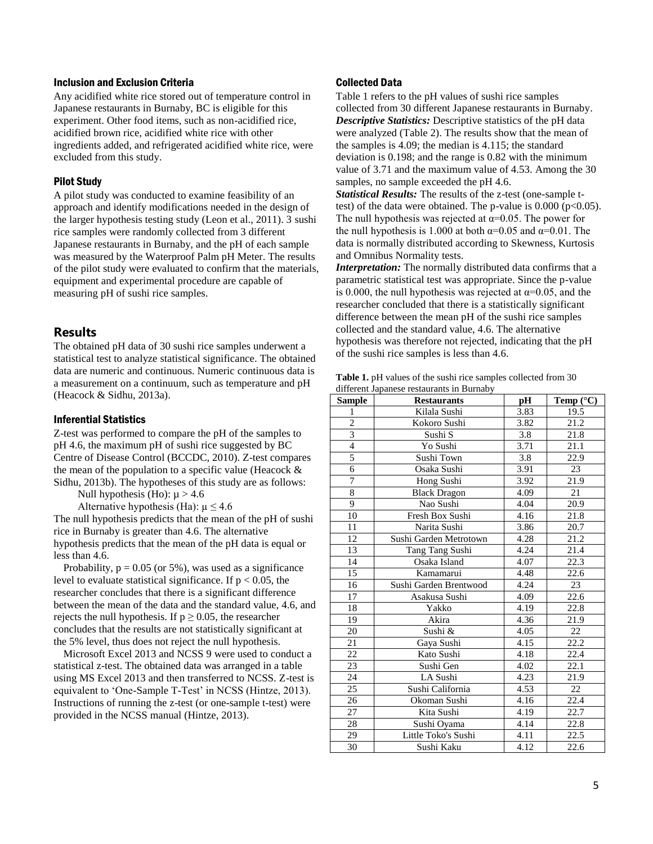#### Inclusion and Exclusion Criteria

Any acidified white rice stored out of temperature control in Japanese restaurants in Burnaby, BC is eligible for this experiment. Other food items, such as non-acidified rice, acidified brown rice, acidified white rice with other ingredients added, and refrigerated acidified white rice, were excluded from this study.

#### Pilot Study

A pilot study was conducted to examine feasibility of an approach and identify modifications needed in the design of the larger hypothesis testing study (Leon et al., 2011). 3 sushi rice samples were randomly collected from 3 different Japanese restaurants in Burnaby, and the pH of each sample was measured by the Waterproof Palm pH Meter. The results of the pilot study were evaluated to confirm that the materials, equipment and experimental procedure are capable of measuring pH of sushi rice samples.

### **Results**

The obtained pH data of 30 sushi rice samples underwent a statistical test to analyze statistical significance. The obtained data are numeric and continuous. Numeric continuous data is a measurement on a continuum, such as temperature and pH (Heacock & Sidhu, 2013a).

#### Inferential Statistics

Z-test was performed to compare the pH of the samples to pH 4.6, the maximum pH of sushi rice suggested by BC Centre of Disease Control (BCCDC, 2010). Z-test compares the mean of the population to a specific value (Heacock & Sidhu, 2013b). The hypotheses of this study are as follows:

Null hypothesis (Ho):  $\mu$  > 4.6

Alternative hypothesis (Ha):  $\mu \leq 4.6$ 

The null hypothesis predicts that the mean of the pH of sushi rice in Burnaby is greater than 4.6. The alternative hypothesis predicts that the mean of the pH data is equal or less than 4.6.

Probability,  $p = 0.05$  (or 5%), was used as a significance level to evaluate statistical significance. If  $p < 0.05$ , the researcher concludes that there is a significant difference between the mean of the data and the standard value, 4.6, and rejects the null hypothesis. If  $p \ge 0.05$ , the researcher concludes that the results are not statistically significant at the 5% level, thus does not reject the null hypothesis.

Microsoft Excel 2013 and NCSS 9 were used to conduct a statistical z-test. The obtained data was arranged in a table using MS Excel 2013 and then transferred to NCSS. Z-test is equivalent to 'One-Sample T-Test' in NCSS (Hintze, 2013). Instructions of running the z-test (or one-sample t-test) were provided in the NCSS manual (Hintze, 2013).

#### Collected Data

Table 1 refers to the pH values of sushi rice samples collected from 30 different Japanese restaurants in Burnaby. *Descriptive Statistics:* Descriptive statistics of the pH data were analyzed (Table 2). The results show that the mean of the samples is 4.09; the median is 4.115; the standard deviation is 0.198; and the range is 0.82 with the minimum value of 3.71 and the maximum value of 4.53. Among the 30 samples, no sample exceeded the pH 4.6.

*Statistical Results:* The results of the z-test (one-sample ttest) of the data were obtained. The p-value is  $0.000$  (p<0.05). The null hypothesis was rejected at  $\alpha$ =0.05. The power for the null hypothesis is 1.000 at both  $\alpha$ =0.05 and  $\alpha$ =0.01. The data is normally distributed according to Skewness, Kurtosis and Omnibus Normality tests.

*Interpretation:* The normally distributed data confirms that a parametric statistical test was appropriate. Since the p-value is 0.000, the null hypothesis was rejected at  $\alpha$ =0.05, and the researcher concluded that there is a statistically significant difference between the mean pH of the sushi rice samples collected and the standard value, 4.6. The alternative hypothesis was therefore not rejected, indicating that the pH of the sushi rice samples is less than 4.6.

|  | <b>Table 1.</b> pH values of the sushi rice samples collected from 30 |  |
|--|-----------------------------------------------------------------------|--|
|  | different Japanese restaurants in Burnaby                             |  |

| <b>Sample</b>   | <b>Restaurants</b>     | pН   | Temp (°C) |
|-----------------|------------------------|------|-----------|
| $\mathbf{1}$    | Kilala Sushi           | 3.83 | 19.5      |
| $\overline{c}$  | Kokoro Sushi           | 3.82 | 21.2      |
| $\overline{3}$  | Sushi S                | 3.8  | 21.8      |
| $\overline{4}$  | Yo Sushi               | 3.71 | 21.1      |
| $\overline{5}$  | Sushi Town             | 3.8  | 22.9      |
| $\overline{6}$  | Osaka Sushi            | 3.91 | 23        |
| 7               | Hong Sushi             | 3.92 | 21.9      |
| 8               | <b>Black Dragon</b>    | 4.09 | 21        |
| $\overline{9}$  | Nao Sushi              | 4.04 | 20.9      |
| 10              | Fresh Box Sushi        | 4.16 | 21.8      |
| 11              | Narita Sushi           | 3.86 | 20.7      |
| 12              | Sushi Garden Metrotown | 4.28 | 21.2      |
| 13              | Tang Tang Sushi        | 4.24 | 21.4      |
| 14              | Osaka Island           | 4.07 | 22.3      |
| $\overline{15}$ | Kamamarui              | 4.48 | 22.6      |
| 16              | Sushi Garden Brentwood | 4.24 | 23        |
| 17              | Asakusa Sushi          | 4.09 | 22.6      |
| 18              | Yakko                  | 4.19 | 22.8      |
| 19              | Akira                  | 4.36 | 21.9      |
| 20              | Sushi &                | 4.05 | 22        |
| 21              | Gaya Sushi             | 4.15 | 22.2      |
| 22              | Kato Sushi             | 4.18 | 22.4      |
| 23              | Sushi Gen              | 4.02 | 22.1      |
| 24              | LA Sushi               | 4.23 | 21.9      |
| $\overline{25}$ | Sushi California       | 4.53 | 22        |
| 26              | Okoman Sushi           | 4.16 | 22.4      |
| 27              | Kita Sushi             | 4.19 | 22.7      |
| 28              | Sushi Oyama            | 4.14 | 22.8      |
| 29              | Little Toko's Sushi    | 4.11 | 22.5      |
| 30              | Sushi Kaku             | 4.12 | 22.6      |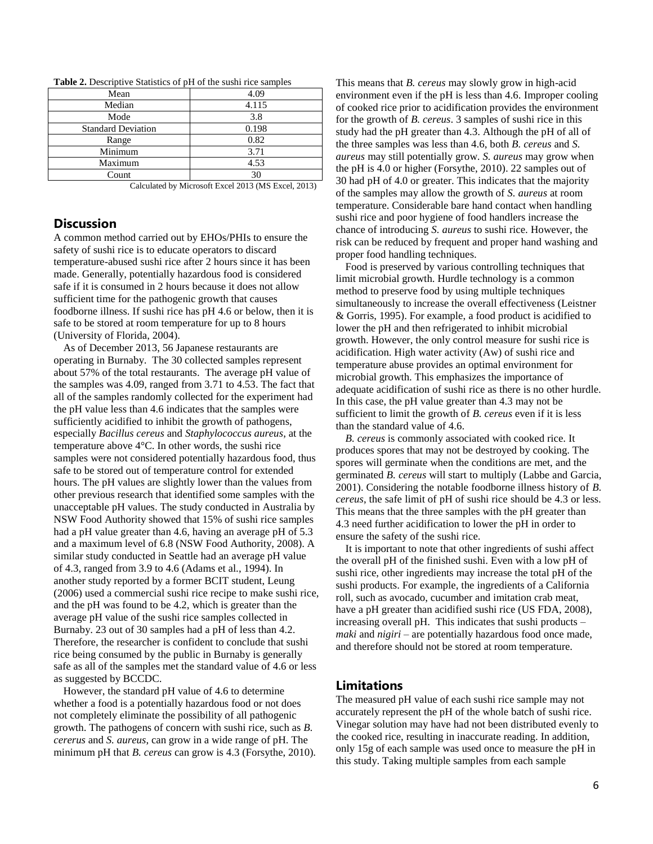| <b>Table 2.</b> Descriptive Statistics of pH of the sushi rice samples |  |
|------------------------------------------------------------------------|--|
|------------------------------------------------------------------------|--|

| Mean                      | 4.09  |
|---------------------------|-------|
| Median                    | 4.115 |
| Mode                      | 3.8   |
| <b>Standard Deviation</b> | 0.198 |
| Range                     | 0.82  |
| Minimum                   | 3.71  |
| Maximum                   | 4.53  |
| Count                     | 30    |

Calculated by Microsoft Excel 2013 (MS Excel, 2013)

# **Discussion**

A common method carried out by EHOs/PHIs to ensure the safety of sushi rice is to educate operators to discard temperature-abused sushi rice after 2 hours since it has been made. Generally, potentially hazardous food is considered safe if it is consumed in 2 hours because it does not allow sufficient time for the pathogenic growth that causes foodborne illness. If sushi rice has pH 4.6 or below, then it is safe to be stored at room temperature for up to 8 hours (University of Florida, 2004).

As of December 2013, 56 Japanese restaurants are operating in Burnaby. The 30 collected samples represent about 57% of the total restaurants. The average pH value of the samples was 4.09, ranged from 3.71 to 4.53. The fact that all of the samples randomly collected for the experiment had the pH value less than 4.6 indicates that the samples were sufficiently acidified to inhibit the growth of pathogens, especially *Bacillus cereus* and *Staphylococcus aureus*, at the temperature above 4°C. In other words, the sushi rice samples were not considered potentially hazardous food, thus safe to be stored out of temperature control for extended hours. The pH values are slightly lower than the values from other previous research that identified some samples with the unacceptable pH values. The study conducted in Australia by NSW Food Authority showed that 15% of sushi rice samples had a pH value greater than 4.6, having an average pH of 5.3 and a maximum level of 6.8 (NSW Food Authority, 2008). A similar study conducted in Seattle had an average pH value of 4.3, ranged from 3.9 to 4.6 (Adams et al., 1994). In another study reported by a former BCIT student, Leung (2006) used a commercial sushi rice recipe to make sushi rice, and the pH was found to be 4.2, which is greater than the average pH value of the sushi rice samples collected in Burnaby. 23 out of 30 samples had a pH of less than 4.2. Therefore, the researcher is confident to conclude that sushi rice being consumed by the public in Burnaby is generally safe as all of the samples met the standard value of 4.6 or less as suggested by BCCDC.

However, the standard pH value of 4.6 to determine whether a food is a potentially hazardous food or not does not completely eliminate the possibility of all pathogenic growth. The pathogens of concern with sushi rice, such as *B. cererus* and *S. aureus*, can grow in a wide range of pH. The minimum pH that *B. cereus* can grow is 4.3 (Forsythe, 2010). This means that *B. cereus* may slowly grow in high-acid environment even if the pH is less than 4.6. Improper cooling of cooked rice prior to acidification provides the environment for the growth of *B. cereus*. 3 samples of sushi rice in this study had the pH greater than 4.3. Although the pH of all of the three samples was less than 4.6, both *B. cereus* and *S. aureus* may still potentially grow. *S. aureus* may grow when the pH is 4.0 or higher (Forsythe, 2010). 22 samples out of 30 had pH of 4.0 or greater. This indicates that the majority of the samples may allow the growth of *S. aureus* at room temperature. Considerable bare hand contact when handling sushi rice and poor hygiene of food handlers increase the chance of introducing *S. aureus* to sushi rice. However, the risk can be reduced by frequent and proper hand washing and proper food handling techniques.

Food is preserved by various controlling techniques that limit microbial growth. Hurdle technology is a common method to preserve food by using multiple techniques simultaneously to increase the overall effectiveness (Leistner & Gorris, 1995). For example, a food product is acidified to lower the pH and then refrigerated to inhibit microbial growth. However, the only control measure for sushi rice is acidification. High water activity (Aw) of sushi rice and temperature abuse provides an optimal environment for microbial growth. This emphasizes the importance of adequate acidification of sushi rice as there is no other hurdle. In this case, the pH value greater than 4.3 may not be sufficient to limit the growth of *B. cereus* even if it is less than the standard value of 4.6.

*B. cereus* is commonly associated with cooked rice. It produces spores that may not be destroyed by cooking. The spores will germinate when the conditions are met, and the germinated *B. cereus* will start to multiply (Labbe and Garcia, 2001). Considering the notable foodborne illness history of *B. cereus*, the safe limit of pH of sushi rice should be 4.3 or less. This means that the three samples with the pH greater than 4.3 need further acidification to lower the pH in order to ensure the safety of the sushi rice.

It is important to note that other ingredients of sushi affect the overall pH of the finished sushi. Even with a low pH of sushi rice, other ingredients may increase the total pH of the sushi products. For example, the ingredients of a California roll, such as avocado, cucumber and imitation crab meat, have a pH greater than acidified sushi rice (US FDA, 2008), increasing overall pH. This indicates that sushi products – *maki* and *nigiri* – are potentially hazardous food once made, and therefore should not be stored at room temperature.

# **Limitations**

The measured pH value of each sushi rice sample may not accurately represent the pH of the whole batch of sushi rice. Vinegar solution may have had not been distributed evenly to the cooked rice, resulting in inaccurate reading. In addition, only 15g of each sample was used once to measure the pH in this study. Taking multiple samples from each sample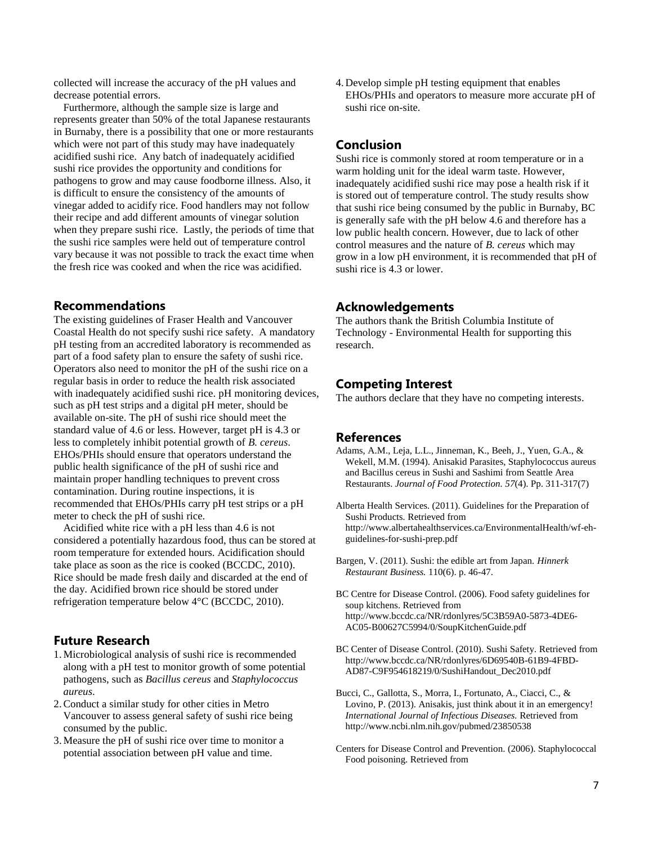collected will increase the accuracy of the pH values and decrease potential errors.

Furthermore, although the sample size is large and represents greater than 50% of the total Japanese restaurants in Burnaby, there is a possibility that one or more restaurants which were not part of this study may have inadequately acidified sushi rice. Any batch of inadequately acidified sushi rice provides the opportunity and conditions for pathogens to grow and may cause foodborne illness. Also, it is difficult to ensure the consistency of the amounts of vinegar added to acidify rice. Food handlers may not follow their recipe and add different amounts of vinegar solution when they prepare sushi rice. Lastly, the periods of time that the sushi rice samples were held out of temperature control vary because it was not possible to track the exact time when the fresh rice was cooked and when the rice was acidified.

# **Recommendations**

The existing guidelines of Fraser Health and Vancouver Coastal Health do not specify sushi rice safety. A mandatory pH testing from an accredited laboratory is recommended as part of a food safety plan to ensure the safety of sushi rice. Operators also need to monitor the pH of the sushi rice on a regular basis in order to reduce the health risk associated with inadequately acidified sushi rice. pH monitoring devices, such as pH test strips and a digital pH meter, should be available on-site. The pH of sushi rice should meet the standard value of 4.6 or less. However, target pH is 4.3 or less to completely inhibit potential growth of *B. cereus*. EHOs/PHIs should ensure that operators understand the public health significance of the pH of sushi rice and maintain proper handling techniques to prevent cross contamination. During routine inspections, it is recommended that EHOs/PHIs carry pH test strips or a pH meter to check the pH of sushi rice.

Acidified white rice with a pH less than 4.6 is not considered a potentially hazardous food, thus can be stored at room temperature for extended hours. Acidification should take place as soon as the rice is cooked (BCCDC, 2010). Rice should be made fresh daily and discarded at the end of the day. Acidified brown rice should be stored under refrigeration temperature below 4°C (BCCDC, 2010).

# **Future Research**

- 1.Microbiological analysis of sushi rice is recommended along with a pH test to monitor growth of some potential pathogens, such as *Bacillus cereus* and *Staphylococcus aureus*.
- 2.Conduct a similar study for other cities in Metro Vancouver to assess general safety of sushi rice being consumed by the public.
- 3.Measure the pH of sushi rice over time to monitor a potential association between pH value and time.

4. Develop simple pH testing equipment that enables EHOs/PHIs and operators to measure more accurate pH of sushi rice on-site.

### **Conclusion**

Sushi rice is commonly stored at room temperature or in a warm holding unit for the ideal warm taste. However, inadequately acidified sushi rice may pose a health risk if it is stored out of temperature control. The study results show that sushi rice being consumed by the public in Burnaby, BC is generally safe with the pH below 4.6 and therefore has a low public health concern. However, due to lack of other control measures and the nature of *B. cereus* which may grow in a low pH environment, it is recommended that pH of sushi rice is 4.3 or lower.

### **Acknowledgements**

The authors thank the British Columbia Institute of Technology - Environmental Health for supporting this research.

## **Competing Interest**

The authors declare that they have no competing interests.

#### **References**

- Adams, A.M., Leja, L.L., Jinneman, K., Beeh, J., Yuen, G.A., & Wekell, M.M. (1994). Anisakid Parasites, Staphylococcus aureus and Bacillus cereus in Sushi and Sashimi from Seattle Area Restaurants. *Journal of Food Protection. 57*(4). Pp. 311-317(7)
- Alberta Health Services. (2011). Guidelines for the Preparation of Sushi Products*.* Retrieved from http://www.albertahealthservices.ca/EnvironmentalHealth/wf-ehguidelines-for-sushi-prep.pdf
- Bargen, V. (2011). Sushi: the edible art from Japan. *Hinnerk Restaurant Business.* 110(6). p. 46-47.
- BC Centre for Disease Control. (2006). Food safety guidelines for soup kitchens. Retrieved from http://www.bccdc.ca/NR/rdonlyres/5C3B59A0-5873-4DE6- AC05-B00627C5994/0/SoupKitchenGuide.pdf
- BC Center of Disease Control. (2010). Sushi Safety. Retrieved from http://www.bccdc.ca/NR/rdonlyres/6D69540B-61B9-4FBD-AD87-C9F954618219/0/SushiHandout\_Dec2010.pdf
- Bucci, C., Gallotta, S., Morra, I., Fortunato, A., Ciacci, C., & Lovino, P. (2013). Anisakis, just think about it in an emergency! *International Journal of Infectious Diseases.* Retrieved from http://www.ncbi.nlm.nih.gov/pubmed/23850538
- Centers for Disease Control and Prevention. (2006). Staphylococcal Food poisoning. Retrieved from